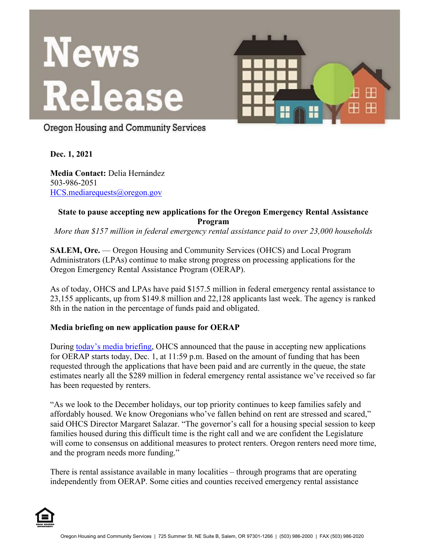

Oregon Housing and Community Services

**Dec. 1, 2021**

**Media Contact:** Delia Hernández 503-986-2051 [HCS.mediarequests@oregon.gov](mailto:HCS.mediarequests@oregon.gov)

### **State to pause accepting new applications for the Oregon Emergency Rental Assistance Program**

*More than \$157 million in federal emergency rental assistance paid to over 23,000 households*

**SALEM, Ore.** — Oregon Housing and Community Services (OHCS) and Local Program Administrators (LPAs) continue to make strong progress on processing applications for the Oregon Emergency Rental Assistance Program (OERAP).

As of today, OHCS and LPAs have paid \$157.5 million in federal emergency rental assistance to 23,155 applicants, up from \$149.8 million and 22,128 applicants last week. The agency is ranked 8th in the nation in the percentage of funds paid and obligated.

## **Media briefing on new application pause for OERAP**

During [today's media briefing,](https://www.youtube.com/watch?v=k11Voj-Rlwo) OHCS announced that the pause in accepting new applications for OERAP starts today, Dec. 1, at 11:59 p.m. Based on the amount of funding that has been requested through the applications that have been paid and are currently in the queue, the state estimates nearly all the \$289 million in federal emergency rental assistance we've received so far has been requested by renters.

"As we look to the December holidays, our top priority continues to keep families safely and affordably housed. We know Oregonians who've fallen behind on rent are stressed and scared," said OHCS Director Margaret Salazar. "The governor's call for a housing special session to keep families housed during this difficult time is the right call and we are confident the Legislature will come to consensus on additional measures to protect renters. Oregon renters need more time, and the program needs more funding."

There is rental assistance available in many localities – through programs that are operating independently from OERAP. Some cities and counties received emergency rental assistance

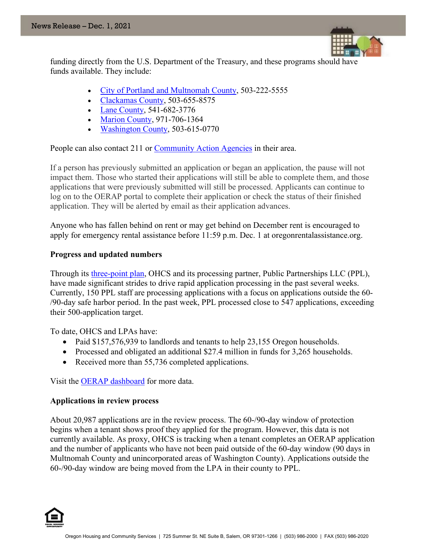

funding directly from the U.S. Department of the Treasury, and these programs should have funds available. They include:

- [City of Portland and Multnomah County,](https://www.portland.gov/phb/rent-relief/multnomah-county-rent-assistance) 503-222-5555
- [Clackamas County,](https://www.clackamas.us/coronavirus/resources) 503-655-8575
- [Lane County,](https://lanecounty.org/cms/One.aspx?portalId=3585881&pageId=16741613) 541-682-3776
- **[Marion County,](https://www.co.marion.or.us/BOC/CD/Pages/rentalassistance.aspx) 971-706-1364**
- [Washington County,](https://caowash.org/programs/housing-stability/renter-support.html) 503-615-0770

People can also contact 211 or [Community Action Agencies](https://www.oregonrentalassistance.org/additional-assistance/) in their area.

If a person has previously submitted an application or began an application, the pause will not impact them. Those who started their applications will still be able to complete them, and those applications that were previously submitted will still be processed. Applicants can continue to log on to the OERAP portal to complete their application or check the status of their finished application. They will be alerted by email as their application advances.

Anyone who has fallen behind on rent or may get behind on December rent is encouraged to apply for emergency rental assistance before 11:59 p.m. Dec. 1 at oregonrentalassistance.org.

#### **Progress and updated numbers**

Through its [three-point plan,](https://www.oregon.gov/ohcs/about-us/Documents/press/10-08-2021-Media-Release.pdf) OHCS and its processing partner, Public Partnerships LLC (PPL), have made significant strides to drive rapid application processing in the past several weeks. Currently, 150 PPL staff are processing applications with a focus on applications outside the 60- /90-day safe harbor period. In the past week, PPL processed close to 547 applications, exceeding their 500-application target.

To date, OHCS and LPAs have:

- Paid \$157,576,939 to landlords and tenants to help 23,155 Oregon households.
- Processed and obligated an additional \$27.4 million in funds for 3,265 households.
- Received more than 55,736 completed applications.

Visit the [OERAP dashboard](https://public.tableau.com/app/profile/oregon.housing.and.community.services/viz/OregonERAWeeklyReportDashboard/ExternalPaymentDashboard) for more data.

#### **Applications in review process**

About 20,987 applications are in the review process. The 60-/90-day window of protection begins when a tenant shows proof they applied for the program. However, this data is not currently available. As proxy, OHCS is tracking when a tenant completes an OERAP application and the number of applicants who have not been paid outside of the 60-day window (90 days in Multnomah County and unincorporated areas of Washington County). Applications outside the 60-/90-day window are being moved from the LPA in their county to PPL.

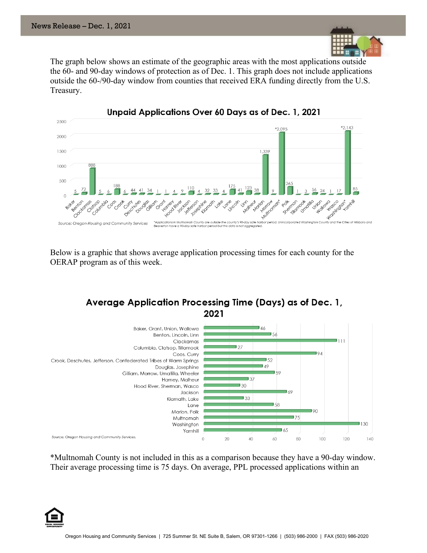

The graph below shows an estimate of the geographic areas with the most applications outside the 60- and 90-day windows of protection as of Dec. 1. This graph does not include applications outside the 60-/90-day window from counties that received ERA funding directly from the U.S. Treasury.



Below is a graphic that shows average application processing times for each county for the OERAP program as of this week.

# Average Application Processing Time (Days) as of Dec. 1, 2021



\*Multnomah County is not included in this as a comparison because they have a 90-day window. Their average processing time is 75 days. On average, PPL processed applications within an